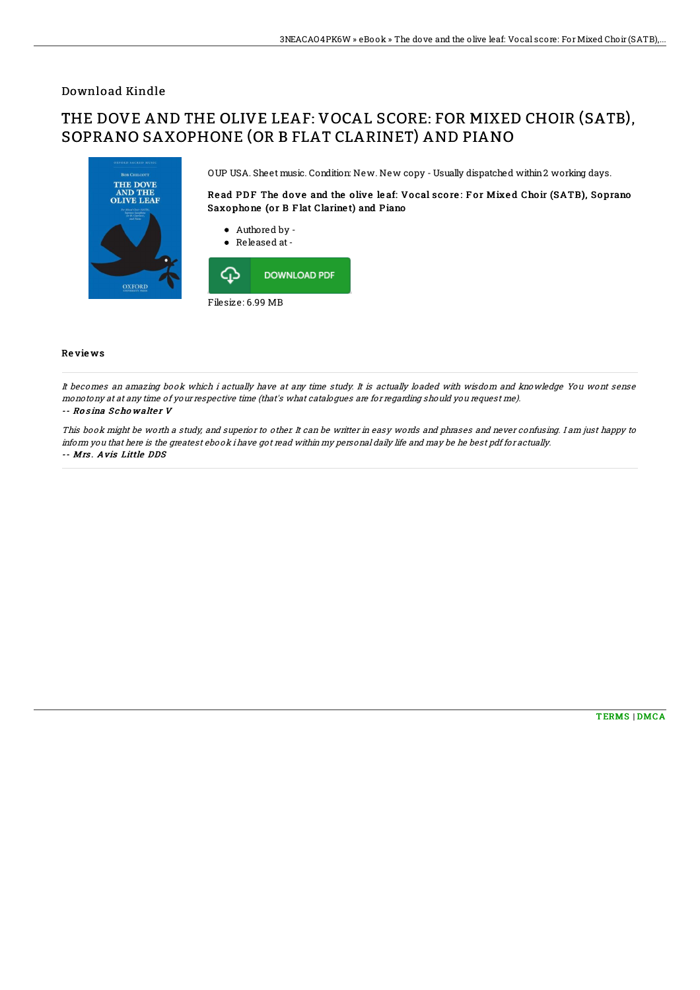## Download Kindle

## THE DOVE AND THE OLIVE LEAF: VOCAL SCORE: FOR MIXED CHOIR (SATB), SOPRANO SAXOPHONE (OR B FLAT CLARINET) AND PIANO



OUP USA. Sheet music. Condition: New. New copy - Usually dispatched within2 working days.

Read PDF The dove and the olive leaf: Vocal score: For Mixed Choir (SATB), Soprano Saxophone (or B Flat Clarinet) and Piano

- Authored by -
- Released at-



## Re vie ws

It becomes an amazing book which i actually have at any time study. It is actually loaded with wisdom and knowledge You wont sense monotony at at any time of your respective time (that's what catalogues are for regarding should you request me). -- Rosina Schowalter V

This book might be worth <sup>a</sup> study, and superior to other. It can be writter in easy words and phrases and never confusing. I am just happy to inform you that here is the greatest ebook i have got read within my personal daily life and may be he best pdf for actually. -- Mrs . Avis Little DDS